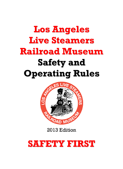# **Los Angeles Live Steamers Railroad Museum Safety and Operating Rules**



2013 Edition

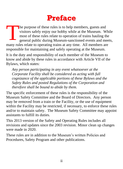## **Preface**

he purpose of these rules is to help members, guests and visitors safely enjoy our hobby while at the Museum. While most of these rules relate to operation of trains hauling the general public during Museum-sanctioned events and meets, many rules relate to operating trains at any time. All members are responsible for maintaining and safely operating at the Museum. T

It is the duty and responsibility of each member of the Museum to know and abide by these rules in accordance with Article VII of the Bylaws, which states:

*Any person participating in any event whatsoever at the Corporate Facility shall be considered as acting with full cognizance of the applicable portions of these Bylaws and the Safety Rules and posted Regulations of the Corporation and therefore shall be bound to abide by them.*

The specific enforcement of these rules is the responsibility of the Museum Safety Committee and the Board of Directors. Any person may be removed from a train or the Facility, or the use of equipment within the Facility may be restricted, if necessary, to enforce these rules and/or to maintain safety. The Museum Safety Committee may appoint assistants to fulfill its duties.

This 2013 version of the Safety and Operating Rules includes all revisions and updates since the 2003 revision. Minor clean up changes were made in 2020.

These rules are in addition to the Museum's written Policies and Procedures, Safety Program and other publications.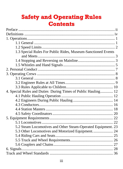### **Safety and Operating Rules Contents**

| 1.3 Special Rules For Public Rides, Museum-Sanctioned Events  |  |
|---------------------------------------------------------------|--|
|                                                               |  |
|                                                               |  |
|                                                               |  |
|                                                               |  |
|                                                               |  |
|                                                               |  |
|                                                               |  |
|                                                               |  |
| 4. Special Rules and Duties During Times of Public Hauling 12 |  |
|                                                               |  |
|                                                               |  |
|                                                               |  |
|                                                               |  |
|                                                               |  |
|                                                               |  |
|                                                               |  |
| 5.2 Steam Locomotives and Other Steam-Operated Equipment. 23  |  |
| 5.3 Other Locomotives and Motorized Equipment 24              |  |
|                                                               |  |
|                                                               |  |
|                                                               |  |
|                                                               |  |
|                                                               |  |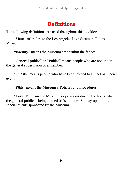#### **Definitions**

The following definitions are used throughout this booklet:

"**Museum**" refers to the Los Angeles Live Steamers Railroad Museum.

**"Facility"** means the Museum area within the fences.

"**General public**" or "**Public**" means people who are not under the general supervision of a member.

"**Guests**" means people who have been invited to a meet or special event.

"**P&P**" means the Museum's Policies and Procedures.

"**Level I**" means the Museum's operations during the hours when the general public is being hauled (this includes Sunday operations and special events sponsored by the Museum).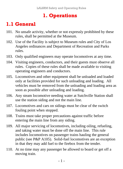#### **1. Operations**

#### **1.1 General**

- 101. No unsafe activity, whether or not expressly prohibited by these rules, shall be permitted at the Museum.
- 102. Use of the Facility is subject to Museum rules and City of Los Angeles ordinances and Department of Recreation and Parks rules.
- 103. Only qualified engineers may operate locomotives at any time.
- 104. Visiting engineers, conductors, and their guests must observe all rules. Copies of these rules shall be made available to visiting operating engineers and conductors.
- 105. Locomotives and other equipment shall be unloaded and loaded only at facilities provided for such unloading and loading. All vehicles must be removed from the unloading and loading area as soon as possible after unloading and loading.
- 106. Any steam locomotive needing water at Sutchville Station shall use the station siding and not the main line.
- 107. Locomotives and cars on sidings must be clear of the switch fouling point when stopped.
- 108. Trains must take proper precautions against traffic before entering the main line from any siding.
- 109. All major servicing of locomotives, including oiling, refueling, and taking water must be done off the main line. This rule includes locomotives on passenger trains hauling the general public (see P&P A105). Solid-fuel locomotives are an exception in that they may add fuel to the firebox from the tender.
- 110. At no time may any passenger be allowed to board or get off a moving train.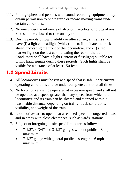- 111. Photographers and persons with sound recording equipment may obtain permission to photograph or record moving trains under certain conditions.
- 112. No one under the influence of alcohol, narcotics, or drugs of any kind shall be allowed to ride on any train.
- 113. During periods of low visibility or after sunset, all trains shall have (i) a lighted headlight (white) able to illuminate the track ahead, indicating the front of the locomotive, and (ii) a red marker light on the last car indicating the rear of the train. Conductors shall have a light (lantern or flashlight) suitable for giving hand signals during these periods. Such lights shall be visible for a distance of at least 150 feet.

### **1.2 Speed Limits**

- 114. All locomotives must be run at a speed that is safe under current operating conditions and be under complete control at all times.
- 115. No locomotive shall be operated at excessive speed, and shall not be operated at a speed greater than any speed from which the locomotive and its train can be slowed and stopped within a reasonable distance, depending on traffic, track conditions, visibility, and weight of the train.
- 116. Locomotives are to operate at a reduced speed in congested areas and in areas with close clearances, such as yards, stations.
- 117. Subject to foregoing, basic speed limits are as follows:
	- 7-1/2", 4-3/4" and 3-1/2" gauges without public  $-8$  mph maximum.
	- $7-1/2$ " gauge with general public passengers– 6 mph maximum.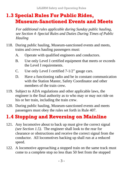#### **1.3 Special Rules For Public Rides, Museum-Sanctioned Events and Meets**

*For additional rules applicable during Sunday public hauling, see Section 4–Special Rules and Duties During Times of Public Hauling* 

- 118. During public hauling, Museum-sanctioned events and meets, trains and crews hauling passengers must:
	- A. Operate with qualified engineers and conductors.
	- B. Use only Level I certified equipment that meets or exceeds the Level I requirements.
	- C. Use only Level I certified 7-1/2" gauge cars.
	- D. Have a functioning radio and be in constant communication with the Station Master, Safety Coordinator and other members of the train crew.
- 119. Subject to ADA regulations and other applicable laws, the engineer is the final authority as to who may or may not ride on his or her train, including the train crew.
- 120. During public hauling, Museum-sanctioned events and meets passengers must obey the rules set forth in Rule 407.

### **1.4 Stopping and Reversing on Mainline**

- 121. Any locomotive about to back up must give the correct signal *(see Section 1.5)*. The engineer shall look to the rear for clearance or obstructions and receive the correct signal from the conductor. All locomotives backing up shall run at a reduced speed.
- 122. A locomotive approaching a stopped train on the same track must come to a complete stop no less than 50 feet from the stopped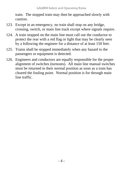train. The stopped train may then be approached slowly with caution.

- 123. Except in an emergency, no train shall stop on any bridge, crossing, switch, or main line track except where signals require.
- 124. A train stopped on the main line must call out the conductor to protect the rear with a red flag or light that may be clearly seen by a following the engineer for a distance of at least 150 feet.
- 125. Trains shall be stopped immediately when any hazard to the passengers or equipment is detected.
- 126. Engineers and conductors are equally responsible for the proper alignment of switches (turnouts). All main line manual switches must be returned to their normal position as soon as a train has cleared the fouling point. Normal position is for through main line traffic.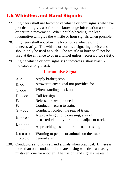#### **1.5 Whistles and Hand Signals**

- 127. Engineers shall use locomotive whistle or horn signals whenever practical to give, ask for, or acknowledge information about his or her train movement. When double-heading, the lead locomotive will give the whistle or horn signals when possible.
- 128. Engineers shall not blow the locomotive whistle or horn unnecessarily. The whistle or horn is a signaling device and should only be used as such. The whistle or horn shall not be used at the entrance to or in a tunnel unless necessary for safety.
- 129. Engine whistle or horn signals: (**o** indicates a short blast;  indicates a long blast):

#### **Locomotive Signals**

| A. o         | Apply brakes; stop.                                                                        |
|--------------|--------------------------------------------------------------------------------------------|
| B. oo        | Answer to any signal not provided for.                                                     |
| $C.$ 000     | When standing, back up.                                                                    |
| D. 0000      | Call for signals.                                                                          |
| E. - -       | Release brakes; proceed.                                                                   |
| F. ----      | Conductor return to train.                                                                 |
| G. - 000     | Conductor protect the rear of train.                                                       |
| H. - - 0 -   | Approaching public crossing, area of<br>restricted visibility, or train on adjacent track. |
| I. - - - - - | Approaching a station or railroad crossing.                                                |
| J. 0 0 0 0   | Warning to people or animals on the track;                                                 |
| 0000         | general alarm.                                                                             |

130. Conductors should use hand signals when practical. If there is more than one conductor in an area using whistles can easily be mistaken, one for another. The use of hand signals makes it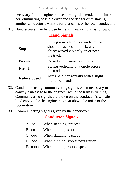necessary for the engineer to see the signal intended for him or her, eliminating possible error and the danger of mistaking another conductor's whistle for that of his or her own conductor.

131. Hand signals may be given by hand, flag, or light, as follows:

|  | <b>Hand Signals</b> |
|--|---------------------|
|--|---------------------|

| Stop         | Swung arm's length down from the<br>shoulders across the track; any<br>object waved violently on or near<br>the track. |
|--------------|------------------------------------------------------------------------------------------------------------------------|
| Proceed      | Raised and lowered vertically.                                                                                         |
| Back Up      | Swung vertically in a circle across<br>the track.                                                                      |
| Reduce Speed | Arms held horizontally with a slight<br>motion of hands.                                                               |

- 132. Conductors using communicating signals when necessary to convey a message to the engineer while the train is running. Communicating signals are blown on the conductor's whistle, loud enough for the engineer to hear above the noise of the locomotive.
- 133. Communicating signals given by the conductor:

#### **Conductor Signals**

| A. 00   | When standing, proceed.             |
|---------|-------------------------------------|
| $B.$ 00 | When running, stop.                 |
| C. 000  | When standing, back up.             |
| D.000   | When running, stop at next station. |
| E. 0000 | When running, reduce speed.         |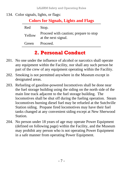LALSRM Safety and Operating Rules

134. Color signals, lights, or flags:

| <b>Colors for Signals, Lights and Flags</b> |  |  |  |
|---------------------------------------------|--|--|--|
|---------------------------------------------|--|--|--|

| Red    | Stop.                                                        |
|--------|--------------------------------------------------------------|
| Yellow | Proceed with caution; prepare to stop<br>at the next signal. |
| Green  | Proceed.                                                     |

#### **2. Personal Conduct**

- 201. No one under the influence of alcohol or narcotics shall operate any equipment within the Facility, nor shall any such person be part of the crew of any equipment operating within the Facility.
- 202. Smoking is not permitted anywhere in the Museum except in designated areas.
- 203. Refueling of gasoline-powered locomotives shall be done near the fuel storage building using the siding on the north side of the main line track adjacent to the fuel storage building. The locomotives shall be shut off during the fueling operation. Steam locomotives burning diesel fuel may be refueled at the Sutchville Station siding. Propane fired locomotives may have their fuel tanks changed at any convenient siding except at New Sherwood **Station**
- 204. No person under 18 years of age may operate Power Equipment (defined on following page) within the Facility, and the Museum may prohibit any person who is not operating Power Equipment in a safe manner from operating Power Equipment.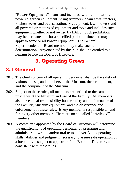"**Power Equipment**" means and includes, without limitation, powered garden equipment, string trimmers, chain saws, tractors, kitchen stoves and ovens, stationary equipment, lawnmowers and all powered or motorized equipment and tools and includes such equipment whether or not owned by LALS. Such prohibition may be permanent or for a specified period of time and may apply to some or all Power Equipment. The General Superintendent or Board member may make such a determination. Anyone cited by this rule shall be entitled to a hearing before the Board of Directors.

#### **3. Operating Crews**

### **3.1 General**

- 301. The chief concern of all operating personnel shall be the safety of visitors, guests, and members of the Museum, their equipment, and the equipment of the Museum.
- 302. Subject to these rules, all members are entitled to the same privileges at the Museum and use of the Facility. All members also have equal responsibility for the safety and maintenance of the Facility, Museum equipment, and the observance and enforcement of these rules. Every member is responsible to, and for, every other member. There are no so-called "privileged" members.
- 303. A committee appointed by the Board of Directors will determine the qualifications of operating personnel by preparing and administering written and/or oral tests and verifying operating skills, abilities and judgment necessary to assure safe operation of a locomotive, subject to approval of the Board of Directors, and consistent with these rules.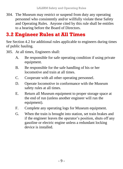304. The Museum may restrict or suspend from duty any operating personnel who consistently and/or willfully violate these Safety and Operating Rules. Anyone cited by this rule shall be entitles to a hearing before the Board of Directors.

#### **3.2 Engineer Rules at All Times**

See Section 4.2 for additional rules applicable to engineers during times of public hauling.

- 305. At all times, Engineers shall:
	- A. Be responsible for safe operating condition if using private equipment.
	- B. Be responsible for the safe handling of his or her locomotive and train at all times.
	- C. Cooperate with all other operating personnel.
	- D. Operate locomotive in conformance with the Museum safety rules at all times.
	- E. Return all Museum equipment to proper storage space at the end of run (unless another engineer will run the equipment).
	- F. Complete any operating logs for Museum equipment.
	- G. When the train is brought into station, set train brakes and if the engineer leaves the operator's position, shuts off any gasoline or electric engine unless a redundant locking device is installed.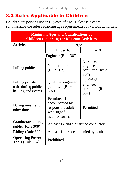### **3.3 Rules Applicable to Children**

Children are persons under 18 years of age. Below is a chart summarizing the rules regarding age requirements for various activities:

| <b>Minimum Ages and Qualifications of</b><br><b>Children (under 18) for Museum Activities</b> |                                                                                       |                                                  |  |
|-----------------------------------------------------------------------------------------------|---------------------------------------------------------------------------------------|--------------------------------------------------|--|
| <b>Activity</b>                                                                               | Age                                                                                   |                                                  |  |
|                                                                                               | Under 16                                                                              | $16-18$                                          |  |
|                                                                                               | Engineer (Rule 307)                                                                   |                                                  |  |
| Pulling public                                                                                | Not permitted<br>(Rule 307)                                                           | Qualified<br>engineer<br>permitted (Rule<br>307) |  |
| Pulling private<br>train during public<br>hauling and events                                  | Qualified engineer<br>permitted (Rule<br>307)                                         | Qualified<br>engineer<br>permitted (Rule<br>307) |  |
| During meets and<br>other times                                                               | Permitted if<br>accompanied by<br>responsible adult<br>who signed<br>liability forms. | Permitted                                        |  |
| <b>Conductor</b> pulling<br>public (Rule 308)                                                 | At least 14 and a qualified conductor                                                 |                                                  |  |
| <b>Riding</b> (Rule 309)                                                                      | At least 14 or accompanied by adult                                                   |                                                  |  |
| <b>Operating Power</b><br>Tools (Rule 204)                                                    | Prohibited                                                                            |                                                  |  |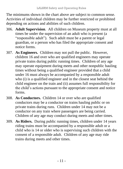The minimums shown in the chart above are subject to common sense. Activities of individual children may be further restricted or prohibited depending on actions and abilities of such children.

- 306. **Adult Supervision**. All children on Museum property must at all times be under the supervision of an adult who is present (a "responsible adult"). Such adult must be a parent or legal guardian, or a person who has filed the appropriate consent and notice forms.
- 307. **As Engineers.** Children may not pull the public. However, children 16 and over who are qualified engineers may operate private trains during public running times. Children of any age may operate equipment during meets and other nonpublic hauling times without being a qualified engineer provided that a child under 16 must always be accompanied by a responsible adult who (i) is a qualified engineer and in the closest seat behind the child engineer on the train and (ii) assumes full responsibility for the child's actions pursuant to the appropriate consent and notice forms.
- 308. **As Conductors.** Children 14 or over who are qualified conductors may be a conductor on trains hauling public or on private trains during runs. Children under 14 may not be a conductor on any train where passengers are being carried. Children of any age may conduct during meets and other times.
- 309. **As Riders.** During public running times, children under 14 years riding trains must be accompanied by a responsible adult or a child who is 14 or older who is supervising such children with the consent of a responsible adult. Children of any age may ride trains during meets and other times.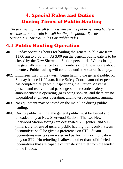#### **4. Special Rules and Duties During Times of Public Hauling**

*These rules apply to all trains whenever the public is being hauled– whether or not a train is itself hauling the public. See also Section 1.3– Special Rules For Public Rides*

### **4.1 Public Hauling Operation**

- 401. Sunday operating hours for hauling the general public are from 11:00 am to 3:00 pm. At 3:00 pm the general public gate is to be closed by the New Sherwood Station personnel. When closing the gate, allow entrance to any members of public who are about to enter. Pubic hauling will continue until the station is empty.
- 402. Engineers may, if they wish, begin hauling the general public on Sunday before 11:00 a.m. if the Safety Coordinator other person has completed all pre-run inspections, the Station Master is present and ready to load passengers, the recorded safety announcement is operating (or is being spoken) and there are no unqualified engineers operating, and no test equipment running.
- 403. No equipment may be tested on the main line during public hauling.
- 404. During public hauling, the general public must be loaded and unloaded only at New Sherwood Station. The two New Sherwood Station sidings are designated ST1 (outer) and ST2 (inner), are for use of general public hauling trains only. Steam locomotives shall be given a preference on ST2. Steam locomotives may take on water and perform minor lubrication only on ST2. No refueling is allowed, other than solid fueled locomotives that are capable of transferring fuel from the tender to the firebox.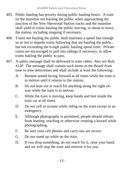- 405. Public hauling has priority during public hauling hours. A train on the mainline not hauling the public when approaching the junction of the New Sherwood Station tracks and the mainline shall yield to trains hauling the public leaving, or about to leave, the station, including stopping if necessary.
- 406. Trains not hauling the public shall maintain a speed fast enough so as not to impede trains following that are hauling the public, but not exceeding the 6-mph public hauling speed limit. Private trains are encouraged to pull into sidings if necessary, to allow trains hauling the public to pass.
- 407. A safety message shall be delivered to train riders. *Also see Rule 414F.* The message shall contain such items as the Board from time to time determines and shall include at least the following:
	- A. Remain seated facing forward at all times while the train is in motion until it returns to the station.
	- B. Do not lean out or reach for anything along the right-ofway while the train is in motion.
	- C. While the train is moving, keep hands and feet inside the train car at all times.
	- D. Do not yell or scream while riding on the train except in an emergency.
	- E. Although photography is permitted, people should refrain from leaning, reaching or otherwise creating a hazard while photographing.
	- F. Be sure your cell phones and carry-ons are secure.
	- G. Do not stand up while on the train.
	- H. If you drop something, do not reach for it, raise your hand, and we will stop the train and retrieve it for you.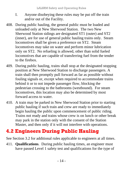- I. Anyone disobeying these rules may be put off the train and/or out of the Facility.
- 408. During public hauling, the general public must be loaded and unloaded only at New Sherwood Station. The two New Sherwood Station sidings are designated ST1 (outer) and ST2 (inner), are for use of general public hauling trains only. Steam locomotives shall be given a preference on ST2. Steam locomotives may take on water and perform minor lubrication only on ST2. No refueling is allowed, other than solid fueled locomotives that are capable of transferring fuel from the tender to the firebox.
- 409. During public hauling, trains shall stop at the designated stopping position at New Sherwood Station to discharge passengers. A train shall then promptly pull forward as far as possible without fouling signals or, except when required to accommodate trains behind it or to not impede passenger flow, blocking the pedestrian crossing to the bathrooms (westbound). For steam locomotives, this location may also be determined by most forward access to water.
- 410. A train may be parked in New Sherwood Station prior to starting public hauling if such train and crew are ready to immediately begin hauling the public upon commencement of public riding. Trains not ready and trains whose crew is on lunch or other break may park in the station only with the consent of the Station Master, and then only if it will not interfere with operations.

### **4.2 Engineers During Public Hauling**

See Section 3.2 for additional rules applicable to engineers at all times.

411. **Qualifications**. During public hauling times, an engineer must have passed Level 1 safety test and qualifications for the type of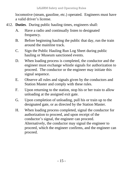locomotive (steam, gasoline, etc.) operated. Engineers must have a valid driver's license.

- 412. **Duties**. During public hauling times, engineers shall:
	- A. Have a radio and continually listen to designated frequency.
	- B. Before beginning hauling the public that day, run the train around the mainline track.
	- C. Sign the Public Hauling Run Log Sheet during public hauling or Museum sanctioned events.
	- D. When loading process is completed, the conductor and the engineer must exchange whistle signals for authorization to proceed. The conductor or the engineer may initiate this signal sequence.
	- E. Observe all rules and signals given by the conductors and Station Master and comply with these rules.
	- F. Upon returning to the station, stop his or her train to allow unloading at the assigned exit gate.
	- G. Upon completion of unloading, pull his or train up to the designated gate, or as directed by the Station Master.
	- H. When loading process completed, signal the conductor for authorization to proceed, and upon receipt of the conductor's signal, the engineer can proceed. Alternatively, the conductor may signal the engineer to proceed, which the engineer confirms, and the engineer can proceed.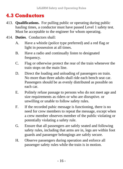#### **4.3 Conductors**

- 413. **Qualifications.** For pulling public or operating during public hauling times, a conductor must have passed Level 1 safety test. Must be acceptable to the engineer for whom operating.
- 414. **Duties**. Conductors shall:
	- A. Have a whistle (police type preferred) and a red flag or light in possession at all times.
	- B. Have a radio and continually listen to designated frequency.
	- C. Flag or otherwise protect the rear of the train whenever the train stops on the main line.
	- D. Direct the loading and unloading of passengers on train. No more than three adults shall ride each bench seat car. Passengers should be as evenly distributed as possible on each car.
	- E. Politely refuse passage to persons who do not meet age and size requirements as riders or who are disruptive. or unwilling or unable to follow safety rules.
	- F. If the recorded pubic message is functioning, there is no need for crew members to repeat the message, except when a crew member observes member of the public violating or potentially violating a safety rule.
	- G. Ensure that all passengers are safely seated and following safety rules, including that arms are in, legs are within foot guards and passenger belongings are safely secure.
	- H. Observe passengers during operation and enforce all passenger safety rules while the train is in motion.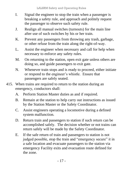- I. Signal the engineer to stop the train when a passenger is breaking a safety rule, and approach and politely request the passenger to observe such safety rule.
- J. Realign all manual switches (turnouts) for the main line after use of such switches by his or her train.
- K. Prevent any passengers from throwing any trash, garbage, or other refuse from the train along the right-of-way.
- L. Assist the engineer when necessary and call for help when necessary to enforce any safety rules.
- M. On returning to the station, open exit gate unless others are doing so, and guide passengers to exit gate.
- N. Whenever train stops and is ready to proceed, either initiate or respond to the engineer's whistle. Ensure that passengers are safely seated.
- 415. When trains are required to return to the station during an emergency, conductors shall:
	- A. Perform Station Master duties as and if required.
	- B. Remain at the station to help carry out instructions as issued by the Station Master or the Safety Coordinator.
	- C. Assist engineers operating a locomotive during a defined system malfunction.
	- D. Return train and passengers to station if such return can be accomplished safely. The decision whether or not trains can return safely will be made by the Safety Coordinator.
	- E. If the safe return of train and passengers to station is not judged possible, stop the train and "emergency secure" it in a safe location and evacuate passengers to the station via emergency Facility exits and evacuation route defined for the zone.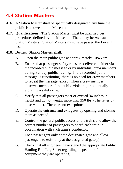#### **4.4 Station Masters**

- 416. A Station Master shall be specifically designated any time the public is allowed in the Museum.
- 417. **Qualifications.** The Station Master must be qualified per procedures defined by the Museum. There may be Assistant Station Masters. Station Masters must have passed the Level I test.
- 418. **Duties**: Station Masters shall:
	- A. Open the main public gate at approximately 10:45 am.
	- B. Ensure that passenger safety rules are delivered, either via the recorded pubic message or by individual crew members during Sunday public hauling. If the recorded pubic message is functioning, there is no need for crew members to repeat the message, except when a crew member observes member of the public violating or potentially violating a safety rule.
	- C. Verify that all passengers meet or exceed 34 inches in height and do not weight more than 350 lbs. (The latter by observation). There are no exceptions.
	- D. Operate the entrance and exit gates by opening and closing them as needed.
	- E. Control the general public access to the trains and allow the correct number of passengers to board each train in coordination with such train's conductor.
	- F. Load passengers only at the designated gate and allow passengers to exist only at the designated gate(s).
	- G. Check that all engineers have signed the appropriate Public Hauling Run Log Sheet regarding inspection of the equipment they are operating.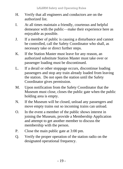- H. Verify that all engineers and conductors are on the authorized list.
- I. At all times maintain a friendly, courteous and helpful demeanor with the public—make their experience here as enjoyable as possible.
- J. If a member of public is causing a disturbance and cannot be controlled, call the Safety Coordinator who shall, as necessary take or direct further steps.
- K. If the Station Master must leave for any reason, an authorized substitute Station Master must take over or passenger loading must be discontinued.
- L. If a derail or other stoppage occurs, discontinue loading passengers and stop any train already loaded from leaving the station. Do not open the station until the Safety Coordinator gives permission.
- M. Upon notification from the Safety Coordinator that the Museum must close, closes the public gate when the public holding area is empty.
- N. If the Museum will be closed, unload any passengers and move empty trains out so incoming trains can unload.
- O. In the event a member of the public shows interest in joining the Museum, provide a Membership Application and attempt to get another member to discuss the membership with the person.
- P. Close the main public gate at 3:00 pm.
- Q. Verify the proper operation of the station radio on the designated operational frequency.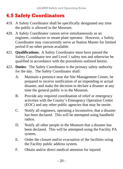#### **4.5 Safety Coordinators**

- 419. A Safety Coordinator shall be specifically designated any time the public is allowed in the Museum.
- 420. A Safety Coordinator cannot serve simultaneously as an engineer, conductor or steam plant operator. However, a Safety Coordinator may concurrently serve as Station Master for limited period if no other person available.
- 421. **Qualifications.** A Safety Coordinator must have passed the Safety Coordinator test and Level 1 safety test and otherwise be qualified in accordance with the procedures outlined herein.
- 422. **Duties**: The Safety Coordinator is the primary safety authority for the day. The Safety Coordinator shall:
	- A. Maintain a presence near the Site Management Center, be prepared to receive notification of an impending or actual disaster, and make the decision to declare a disaster at any time the general public is in the Museum.
	- B. Provide any required coordination of relief or emergency activities with the County's Emergency Operation Center (EOC) and any other public agencies that may be onsite.
	- C. Notify all engineers, operating a locomotive, that a disaster has been declared. This will be attempted using handheld radios.
	- D. Notify all other people in the Museum that a disaster has been declared. This will be attempted using the Facility PA system.
	- E. Order the closure and/or evacuation of the facilities using the Facility public address system.
	- F. Obtain and/or direct medical attention for injured.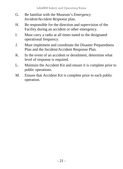- G. Be familiar with the Museum's *Emergency Incident/Accident Response* plan.
- H. Be responsible for the direction and supervision of the Facility during an accident or other emergency.
- I. Must carry a radio at all times tuned to the designated operational frequency.
- J. Must implement and coordinate the Disaster Preparedness Plan and the Incident/Accident Response Plan.
- K. In the event of an accident or derailment, determine what level of response is required.
- L. Maintain the Accident Kit and ensure it is complete prior to public operations.
- M. Ensure that Accident Kit is complete prior to each public operation.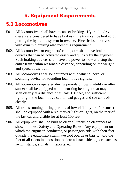### **5. Equipment Requirements**

#### **5.1 Locomotives**

- 501. All locomotives shall have means of braking. Hydraulic drive diesels are considered to have brakes if the train can be braked by putting the hydraulic system in reverse. Electric locomotives with dynamic braking also meet this requirement.
- 502. All locomotives or engineers' riding cars shall have braking devices that can be activated easily and quickly by the engineer. Such braking devices shall have the power to slow and stop the entire train within reasonable distance, depending on the weight and speed of the train.
- 503. All locomotives shall be equipped with a whistle, horn, or sounding device for sounding locomotive signals.
- 504. All locomotives operated during periods of low visibility or after sunset shall be equipped with a working headlight that may be seen clearly at a distance of at least 150 feet, and sufficient lighting in the locomotive cab to read gauges and see controls clearly.
- 505. All trains running during periods of low visibility or after sunset shall be equipped with a red marker light or lights, on the rear of the last car and visible for at least 150 feet.
- 506. All equipment shall be built to clear all trackside clearances as shown in these Safety and Operating Rules. Any equipment on which the engineer, conductor, or passengers ride with their feet outside the equipment shall have foot boards or bars to hold the feet of all riders in a position to clear all trackside objects, such as switch stands, signals, mileposts, etc.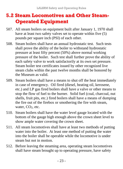#### **5.2 Steam Locomotives and Other Steam-Operated Equipment**

- 507. All steam boilers on equipment built after January 1, 1970 shall have at least two safety valves set to operate within five (5) pounds per square inch (PSI) of each other.
- 508. Steam boilers shall have an annual hydrostatic test. Such tests shall prove the ability of the boiler to withstand hydrostatic pressure at least fifty percent (50%) above normal working pressure of the boiler. Such test shall further prove the ability of each safety valve to work satisfactorily at its own set pressure. Steam boiler test certificates issued by other recognized live steam clubs within the past twelve months shall be honored by the Museum as valid.
- 509. Steam boilers shall have a means to shut off the heat immediately in case of emergency. Oil fired (diesel, heating oil, kerosene, etc.) and LP gas fired boilers shall have a valve or other means to stop the flow of fuel to the burner. Solid fuel (coal, charcoal, nut shells, fruit pits, etc.) fired boilers shall have a means of dumping the fire out of the firebox or smothering the fire with steam, water, CO<sub>2</sub>, etc.
- 510. Steam boilers shall have the water level gauge located with the bottom of the gauge high enough above the crown sheet level to show ample water covering the crown sheet.
- 511. All steam locomotives shall have at least two methods of putting water into the boiler. At least one method of putting the water into the boiler shall be operable while the locomotive is under steam but not in motion.
- 512. Before leaving the steaming area, operating steam locomotives shall have steam brought up to operating pressure, have safety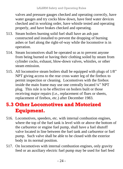valves and pressure gauges checked and operating correctly, have water gauges and try cocks blow down, have feed water devices checked and in working order, have whistle tested and operating properly, and have brakes checked and operating.

- 513. Steam boilers burning solid fuel shall have an ash pan constructed and installed to prevent the dropping of burning ashes or fuel along the right-of-way while the locomotive is in operation.
- 514. Steam locomotives shall be operated so as to prevent anyone from being burned or having their clothing soiled by steam from cylinder cocks, exhaust, blow-down valves, whistles, or other steam emission.
- 515. All locomotive steam boilers shall be equipped with plugs of 1/8" NPT giving access to the rear cross water leg of the firebox to permit inspection or cleaning. Locomotives with the firebox inside the main frame may use one centrally located ¼" NPT plug. This rule is to be effective on boilers built or those receiving major repairs (i.e., replacement of flues or sheets, replacement of firebox, etc.) after December 1983.

#### **5.3 Other Locomotives and Motorized Equipment.**

- 516. Locomotives, speeders, etc. with internal combustion engines, where the top of the fuel tank is level with or above the bottom of the carburetor or engine fuel pump, shall have a fuel shutoff valve located in line between the fuel tank and carburetor or fuel pump. Such valve shall be able to be closed with the exterior body in its normal position.
- 517. On locomotives with internal combustion engines, only gravity feed or an auxiliary electric fuel pump may be used for fuel feed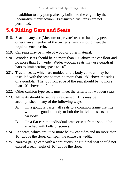in addition to any pump already built into the engine by the locomotive manufacturer. Pressurized fuel tanks are not permitted.

### **5.4 Riding Cars and Seats**

- 518. Seats on any car (Museum or private) used to haul any person other than a member of the owner's family should meet the requirements herein.
- 519. Car seats may be made of wood or other material.
- 520. Wooden seats should be no more than 10" above the car floor and no more than 10" wide. Wider wooden seats may use guardrail bars to limit seating space to 10".
- 521. Tractor seats, which are molded to the body contour, may be installed with the seat bottom no more than 1/8" above the sides of a gondola. The top front edge of the seat should be no more than 10" above the floor.
- 522. Other cushion type seats must meet the criteria for wooden seats.
- 523. All seats should be securely restrained. This may be accomplished in any of the following ways:
	- A. On a gondola, fasten all seats to a common frame that fits within the gondola body or bolt the individual seats to the car body.
	- B. On a flat car, the individual seats or seat frame should be attached with bolts or screws.
- 524. Car seats, which are 2" or more below car sides and no more than 10" above the floor, can span the entire car width.
- 525. Narrow gauge cars with a continuous longitudinal seat should not exceed a seat height of 10" above the floor.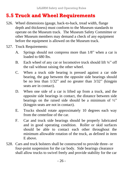#### **5.5 Truck and Wheel Requirements**

- 526. Wheel dimensions (gauge, back-to-back, tread width, flange depth and thickness) must conform to the Museum standards to operate on the Museum track. The Museum Safety Committee or other Museum members may demand a check of any equipment before the equipment is allowed on the Museum track.
- 527. Truck Requirements:
	- A. Springs should not compress more than 1/8" when a car is loaded to 680 lbs.
	- B. Each wheel of any car or locomotive truck should lift 1/4" off the rail without raising the other wheel.
	- C. When a truck side bearing is pressed against a car side bearing, the gap between the opposite side bearings should be no less than 1/32" and no greater than 3/32" (kingpin seats are in contact).
	- D. When one side of a car is lifted up from a truck, and the opposite side bearings in contact, the distance between side bearings on the raised side should be a minimum of  $\frac{1}{2}$ " (kingpin seats are not in contact).
	- E. Trucks should rotate approximately 10 degrees each way from the centerline of the car.
	- F. Car and truck side bearings should be properly lubricated and in good operating condition. Roller or skid surfaces should be able to contact each other throughout the minimum allowable rotation of the truck, as defined in item E above.
- 528. Cars and truck bolsters shall be constructed to provide three- or four-point suspension for the car body. Side bearings clearance shall allow trucks to swivel freely and provide stability for the car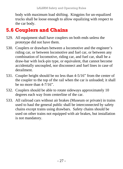body with maximum load shifting. Kingpins for un-equalized trucks shall be loose enough to allow equalizing with respect to the car body.

### **5.6 Couplers and Chains**

- 529. All equipment shall have couplers on both ends unless the prototype did not have them.
- 530. Couplers or drawbars between a locomotive and the engineer's riding car, or between locomotive and fuel car, or between any combination of locomotive, riding car, and fuel car, shall be a draw-bar with lock-pin type, or equivalent, that cannot become accidentally uncoupled, nor disconnect and fuel lines in case of derailment.
- 531. Coupler height should be no less than 4-5/16" from the center of the coupler to the top of the rail when the car is unloaded; it shall be no more than 4-7/16".
- 532. Couplers should be able to rotate sideways approximately 10 degrees each way from centerline of the car.
- 533. All railroad cars without air brakes (Museum or private) in trains used to haul the general public shall be interconnected by safety chains except trains using drawbars. Safety chains should be used on other trains not equipped with air brakes, but installation is not mandatory.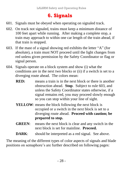#### **6. Signals**

- 601. Signals must be obeyed when operating on signaled track.
- 602. On track not signaled, trains must keep a minimum distance of 100 feet apart while running. After making a complete stop, a train may approach to within one car length of the train ahead, if that train is stopped.
- 603. If the mast of a signal showing red exhibits the letter "A" (for absolute), a train must NOT proceed until the light changes from red unless given permission by the Safety Coordinator or flag or signal person.
- 604. Signals operate on a block system and show (i) what the conditions are in the next two blocks or (ii) if a switch is set to a diverging route ahead. The colors mean:
	- **RED:** means a train is in the next block or there is another obstruction ahead. **Stop**. Subject to rule 603, and unless the Safety Coordinator states otherwise, if a signal remains red, you may proceed slowly enough so you can stop within your line of sight.
	- **YELLOW**: means the block following the next block is occupied or a switch in the next block is set to a diverging route ahead. **Proceed with caution; be prepared to stop.**
	- **GREEN**: means the next block is clear and any switch in the next block is set for mainline. **Proceed.**
	- **DARK:** should be interpreted as a red signal. See above.

The meaning of the different types of color aspects of signals and blade positions on semaphore's are further described on following pages: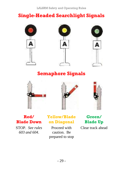### **Single-Headed Searchlight Signals**



#### **Semaphore Signals**







**Red/ Blade Down**

STOP. *See rules 603 and 604*.

#### **Yellow/Blade on Diagonal**

Proceed with caution. Be prepared to stop

**Green/ Blade Up**

Clear track ahead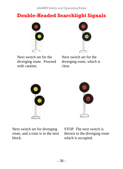#### **Double-Headed Searchlight Signals**









Next switch set for diverging route, and a train is in the next block.



STOP The next switch is thrown to the diverging route which is occupied.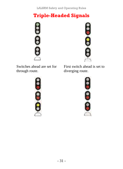LALSRM Safety and Operating Rules

#### **Triple-Headed Signals**





Switches ahead are set for through route.

First switch ahead is set to diverging route.



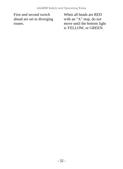First *and* second switch ahead are set to diverging routes.

When all heads are RED with an "A" stop, do not move until the bottom light is YELLOW, or GREEN.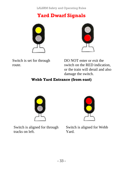LALSRM Safety and Operating Rules

#### **Yard Dwarf Signals**





Switch is set for through route.

DO NOT enter or exit the switch on the RED indication, or the train will derail and also damage the switch.

#### **Webb Yard Entrance (from east)**



Switch is aligned for through tracks on left.



Switch is aligned for Webb Yard.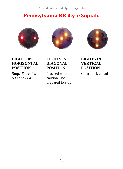#### **Pennsylvania RR Style Signals**







**LIGHTS IN HORIZONTAL POSITION**

Stop. *See rules 603 and 604.*

#### **LIGHTS IN DIAGONAL POSITION**

Proceed with caution. Be prepared to stop **LIGHTS IN VERTICAL POSITION**

Clear track ahead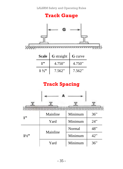#### **Track Gauge**



| Scale          | <b>G</b> straight G curve |        |
|----------------|---------------------------|--------|
| 1"             | 4.750"                    | 4.750" |
| $1\frac{1}{2}$ | 7.562"                    | 7.562" |

#### **Track Spacing**

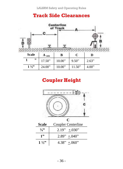#### **Track Side Clearances**



#### **Coupler Height**

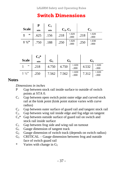LALSRM Safety and Operating Rules

#### **Switch Dimensions**

|                | P    | C <sub>1</sub> |            |                    |      |                    |  |                |
|----------------|------|----------------|------------|--------------------|------|--------------------|--|----------------|
| <b>Scale</b>   | min  | min            | $C_2, C_5$ |                    |      |                    |  | $\mathbf{C}_3$ |
| "              | .625 | .156           | .218       | $+.020$<br>$-.000$ | .218 | $+.020$<br>$-.000$ |  |                |
| $1\frac{1}{2}$ | .750 | .188           | .250       | $+.020$<br>$-.000$ | .250 | $+.030$<br>$-.000$ |  |                |

| <b>Scale</b>   | $C_4*$<br>min | $G_1$ | G2    |                    | G,    |                    |
|----------------|---------------|-------|-------|--------------------|-------|--------------------|
| ,,             | .218          | 4.750 | 4.750 | $+.020$<br>$-.000$ | 4.532 | $+.020$<br>$-.000$ |
| $1\frac{1}{2}$ | .250          | 7.562 | 7.562 | $+.020$<br>$-.000$ | 7.312 | $+.020$<br>$-.000$ |

#### **Notes**

#### *Dimensions in inches*

- P Gap between stock rail inside surface to outside of switch points at STA 0.
- $C_1$  Gap between open switch point outer edge and curved stock rail at the kink point (kink point station varies with curve radius)
- $C_2$  Gap between outer surface of guard rail and tangent stock rail
- $C_3$  Gap between wing rail inside edge and fog edge on tangent
- $C_4^*$  Gap between outside surface of guard rail on switch and stock rail inside surface
- $C_5$  Gap between frog side and wing rail on turnout
- $G_1$  Gauge dimension of tangent track
- $G<sub>2</sub>$  Gauge dimension of switch track (depends on switch radius)
- $G_3$  CRITICAL Gauge dimension between frog and outside face of switch guard rail
- \* Varies with change in  $G_2$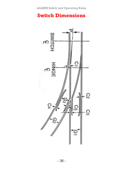#### **Switch Dimensions**

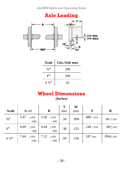#### **Axle Loading**



| <b>Scale</b>   | Lbs./Axle max |
|----------------|---------------|
| $\frac{3}{2}$  | 200           |
| 1"             | 200           |
| $1\frac{1}{2}$ | 42            |

#### **Wheel Dimensions**

*(Inches)*

| <b>Scale</b>   | G ref                      | B                           | т<br>min | w<br>max | F                  | R              |
|----------------|----------------------------|-----------------------------|----------|----------|--------------------|----------------|
| 3/3            | 3.47<br>$+.020$<br>$-.000$ | 3.28<br>$+.020$<br>$-.000$  | .34      | .094     | $.080 + .014$      | $.04 \pm .010$ |
| 1"             | 4.69<br>$+.020$<br>$-.000$ | 4.44<br>$+.020$<br>$-.000.$ | .38      | .125     | $.140 + .016$      | $.06 + .010$   |
| $1\frac{1}{2}$ | 7.44<br>$+.020$<br>$-.000$ | 7.12<br>$+.020$<br>$-.000$  | .59      | .156     | $.187 \text{ max}$ | $.094 + .010$  |